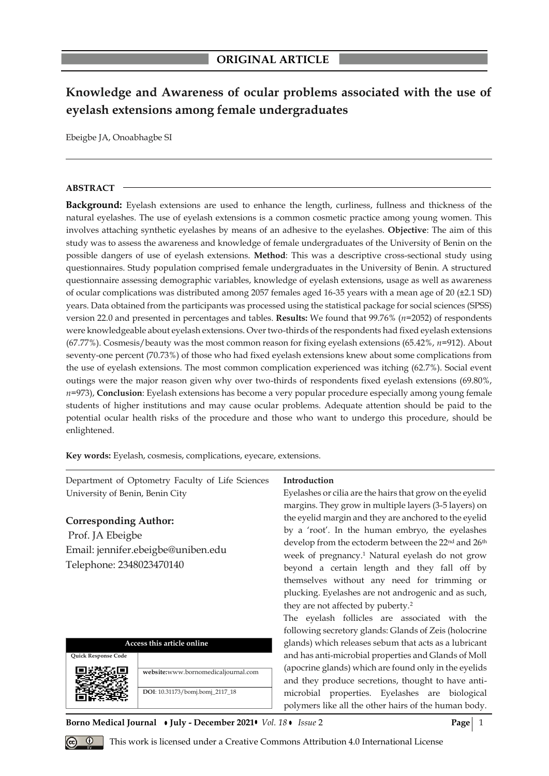# **Knowledge and Awareness of ocular problems associated with the use of eyelash extensions among female undergraduates**

Ebeigbe JA, Onoabhagbe SI

### **ABSTRACT**

**Background:** Eyelash extensions are used to enhance the length, curliness, fullness and thickness of the natural eyelashes. The use of eyelash extensions is a common cosmetic practice among young women. This involves attaching synthetic eyelashes by means of an adhesive to the eyelashes. **Objective**: The aim of this study was to assess the awareness and knowledge of female undergraduates of the University of Benin on the possible dangers of use of eyelash extensions. **Method**: This was a descriptive cross-sectional study using questionnaires. Study population comprised female undergraduates in the University of Benin. A structured questionnaire assessing demographic variables, knowledge of eyelash extensions, usage as well as awareness of ocular complications was distributed among 2057 females aged 16-35 years with a mean age of 20 (±2.1 SD) years. Data obtained from the participants was processed using the statistical package for social sciences (SPSS) version 22.0 and presented in percentages and tables. **Results:** We found that 99.76% (*n*=2052) of respondents were knowledgeable about eyelash extensions. Over two-thirds of the respondents had fixed eyelash extensions (67.77%). Cosmesis/beauty was the most common reason for fixing eyelash extensions (65.42%, *n*=912). About seventy-one percent (70.73%) of those who had fixed eyelash extensions knew about some complications from the use of eyelash extensions. The most common complication experienced was itching (62.7%). Social event outings were the major reason given why over two-thirds of respondents fixed eyelash extensions (69.80%, *n*=973), **Conclusion**: Eyelash extensions has become a very popular procedure especially among young female students of higher institutions and may cause ocular problems. Adequate attention should be paid to the potential ocular health risks of the procedure and those who want to undergo this procedure, should be enlightened.

**Introduction**

Eyelashes or cilia are the hairs that grow on the eyelid margins. They grow in multiple layers (3-5 layers) on

**Key words:** Eyelash, cosmesis, complications, eyecare, extensions.

Department of Optometry Faculty of Life Sciences

University of Benin, Benin City

| <b>Corresponding Author:</b><br>Prof. JA Ebeigbe<br>Email: jennifer.ebeigbe@uniben.edu<br>Telephone: 2348023470140 |                                                                        | the eyelid margin and they are anchored to the eyelid<br>by a 'root'. In the human embryo, the eyelashes<br>develop from the ectoderm between the 22 <sup>nd</sup> and 26 <sup>th</sup><br>week of pregnancy. <sup>1</sup> Natural eyelash do not grow<br>beyond a certain length and they fall off by<br>themselves without any need for trimming or<br>plucking. Eyelashes are not androgenic and as such,<br>they are not affected by puberty. <sup>2</sup><br>The eyelash follicles are associated with the<br>following secretory glands: Glands of Zeis (holocrine |  |  |  |
|--------------------------------------------------------------------------------------------------------------------|------------------------------------------------------------------------|--------------------------------------------------------------------------------------------------------------------------------------------------------------------------------------------------------------------------------------------------------------------------------------------------------------------------------------------------------------------------------------------------------------------------------------------------------------------------------------------------------------------------------------------------------------------------|--|--|--|
|                                                                                                                    | Access this article online                                             | glands) which releases sebum that acts as a lubricant                                                                                                                                                                                                                                                                                                                                                                                                                                                                                                                    |  |  |  |
| Quick Response Code                                                                                                | website:www.bornomedicaljournal.com<br>DOI: 10.31173/bomj.bomj_2117_18 | and has anti-microbial properties and Glands of Moll<br>(apocrine glands) which are found only in the eyelids<br>and they produce secretions, thought to have anti-<br>microbial properties. Eyelashes are biological<br>polymers like all the other hairs of the human body.                                                                                                                                                                                                                                                                                            |  |  |  |

**Borno Medical Journal • July - December 2021 •** *Vol.* 18 • *Issue* 2 **Page** | 1

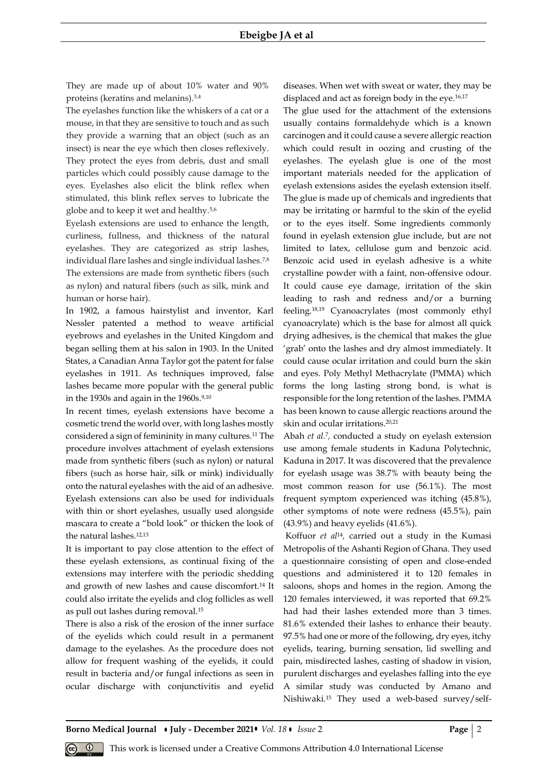They are made up of about 10% water and 90% proteins (keratins and melanins).3,4

The eyelashes function like the whiskers of a cat or a mouse, in that they are sensitive to touch and as such they provide a warning that an object (such as an insect) is near the eye which then closes reflexively. They protect the eyes from debris, dust and small particles which could possibly cause damage to the eyes. Eyelashes also elicit the blink reflex when stimulated, this blink reflex serves to lubricate the globe and to keep it wet and healthy.5,6

Eyelash extensions are used to enhance the length, curliness, fullness, and thickness of the natural eyelashes. They are categorized as strip lashes, individual flare lashes and single individual lashes.7,8 The extensions are made from synthetic fibers (such as nylon) and natural fibers (such as silk, mink and human or horse hair).

In 1902, a famous hairstylist and inventor, Karl Nessler patented a method to weave artificial eyebrows and eyelashes in the United Kingdom and began selling them at his salon in 1903. In the United States, a Canadian Anna Taylor got the patent for false eyelashes in 1911. As techniques improved, false lashes became more popular with the general public in the 1930s and again in the  $1960s.^{9,10}$ 

In recent times, eyelash extensions have become a cosmetic trend the world over, with long lashes mostly considered a sign of femininity in many cultures.<sup>11</sup> The procedure involves attachment of eyelash extensions made from synthetic fibers (such as nylon) or natural fibers (such as horse hair, silk or mink) individually onto the natural eyelashes with the aid of an adhesive. Eyelash extensions can also be used for individuals with thin or short eyelashes, usually used alongside mascara to create a "bold look" or thicken the look of the natural lashes.12,13

It is important to pay close attention to the effect of these eyelash extensions, as continual fixing of the extensions may interfere with the periodic shedding and growth of new lashes and cause discomfort.<sup>14</sup> It could also irritate the eyelids and clog follicles as well as pull out lashes during removal.<sup>15</sup>

There is also a risk of the erosion of the inner surface of the eyelids which could result in a permanent damage to the eyelashes. As the procedure does not allow for frequent washing of the eyelids, it could result in bacteria and/or fungal infections as seen in ocular discharge with conjunctivitis and eyelid

diseases. When wet with sweat or water, they may be displaced and act as foreign body in the eye.<sup>16,17</sup>

The glue used for the attachment of the extensions usually contains formaldehyde which is a known carcinogen and it could cause a severe allergic reaction which could result in oozing and crusting of the eyelashes. The eyelash glue is one of the most important materials needed for the application of eyelash extensions asides the eyelash extension itself. The glue is made up of chemicals and ingredients that may be irritating or harmful to the skin of the eyelid or to the eyes itself. Some ingredients commonly found in eyelash extension glue include, but are not limited to latex, cellulose gum and benzoic acid. Benzoic acid used in eyelash adhesive is a white crystalline powder with a faint, non-offensive odour. It could cause eye damage, irritation of the skin leading to rash and redness and/or a burning feeling.18,19 Cyanoacrylates (most commonly ethyl cyanoacrylate) which is the base for almost all quick drying adhesives, is the chemical that makes the glue 'grab' onto the lashes and dry almost immediately. It could cause ocular irritation and could burn the skin and eyes. Poly Methyl Methacrylate (PMMA) which forms the long lasting strong bond, is what is responsible for the long retention of the lashes. PMMA has been known to cause allergic reactions around the skin and ocular irritations.20,21

Abah *et al.<sup>7</sup>*, conducted a study on eyelash extension use among female students in Kaduna Polytechnic, Kaduna in 2017. It was discovered that the prevalence for eyelash usage was 38.7% with beauty being the most common reason for use (56.1%). The most frequent symptom experienced was itching (45.8%), other symptoms of note were redness (45.5%), pain (43.9%) and heavy eyelids (41.6%).

Koffuor *et al*<sup>14</sup> *,* carried out a study in the Kumasi Metropolis of the Ashanti Region of Ghana. They used a questionnaire consisting of open and close-ended questions and administered it to 120 females in saloons, shops and homes in the region. Among the 120 females interviewed, it was reported that 69.2% had had their lashes extended more than 3 times. 81.6% extended their lashes to enhance their beauty. 97.5% had one or more of the following, dry eyes, itchy eyelids, tearing, burning sensation, lid swelling and pain, misdirected lashes, casting of shadow in vision, purulent discharges and eyelashes falling into the eye A similar study was conducted by Amano and Nishiwaki.<sup>15</sup> They used a web-based survey/self-

**Borno Medical Journal • July - December 2021 •** *Vol.* 18 • *Issue* 2 **Page** 2 **Page** 2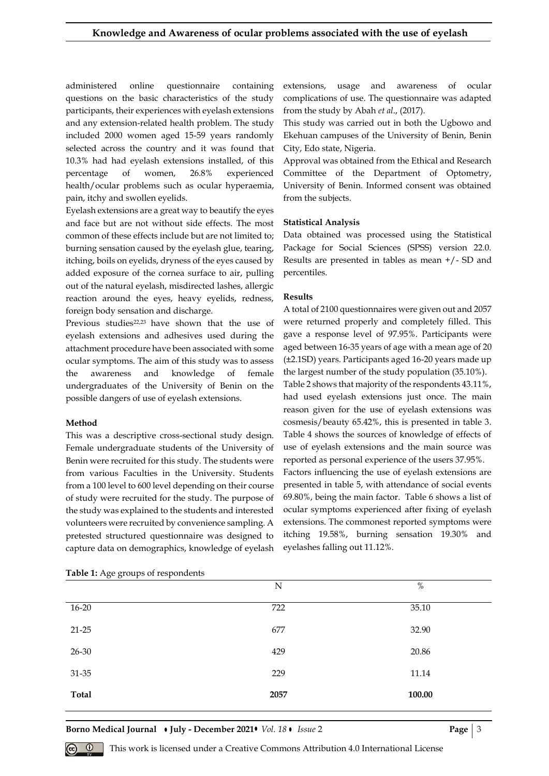administered online questionnaire containing questions on the basic characteristics of the study participants, their experiences with eyelash extensions and any extension-related health problem. The study included 2000 women aged 15-59 years randomly selected across the country and it was found that 10.3% had had eyelash extensions installed, of this percentage of women, 26.8% experienced health/ocular problems such as ocular hyperaemia, pain, itchy and swollen eyelids.

Eyelash extensions are a great way to beautify the eyes and face but are not without side effects. The most common of these effects include but are not limited to; burning sensation caused by the eyelash glue, tearing, itching, boils on eyelids, dryness of the eyes caused by added exposure of the cornea surface to air, pulling out of the natural eyelash, misdirected lashes, allergic reaction around the eyes, heavy eyelids, redness, foreign body sensation and discharge.

Previous studies<sup>22,23</sup> have shown that the use of eyelash extensions and adhesives used during the attachment procedure have been associated with some ocular symptoms. The aim of this study was to assess the awareness and knowledge of female undergraduates of the University of Benin on the possible dangers of use of eyelash extensions.

#### **Method**

This was a descriptive cross-sectional study design. Female undergraduate students of the University of Benin were recruited for this study. The students were from various Faculties in the University. Students from a 100 level to 600 level depending on their course of study were recruited for the study. The purpose of the study was explained to the students and interested volunteers were recruited by convenience sampling. A pretested structured questionnaire was designed to capture data on demographics, knowledge of eyelash extensions, usage and awareness of ocular complications of use. The questionnaire was adapted from the study by Abah *et al*., (2017).

This study was carried out in both the Ugbowo and Ekehuan campuses of the University of Benin, Benin City, Edo state, Nigeria.

Approval was obtained from the Ethical and Research Committee of the Department of Optometry, University of Benin. Informed consent was obtained from the subjects.

#### **Statistical Analysis**

Data obtained was processed using the Statistical Package for Social Sciences (SPSS) version 22.0. Results are presented in tables as mean +/- SD and percentiles.

### **Results**

A total of 2100 questionnaires were given out and 2057 were returned properly and completely filled. This gave a response level of 97.95%. Participants were aged between 16-35 years of age with a mean age of 20 (±2.1SD) years. Participants aged 16-20 years made up the largest number of the study population (35.10%).

Table 2 shows that majority of the respondents 43.11%, had used eyelash extensions just once. The main reason given for the use of eyelash extensions was cosmesis/beauty 65.42%, this is presented in table 3. Table 4 shows the sources of knowledge of effects of use of eyelash extensions and the main source was reported as personal experience of the users 37.95%.

Factors influencing the use of eyelash extensions are presented in table 5, with attendance of social events 69.80%, being the main factor. Table 6 shows a list of ocular symptoms experienced after fixing of eyelash extensions. The commonest reported symptoms were itching 19.58%, burning sensation 19.30% and eyelashes falling out 11.12%.

| $\sigma$ $\sigma$ $\sim$ $\Gamma$ $\sim$ $\sim$ $\Gamma$ $\sim$ $\sim$ $\sim$ |      |        |  |  |  |  |
|-------------------------------------------------------------------------------|------|--------|--|--|--|--|
|                                                                               | N    | $\%$   |  |  |  |  |
| $16 - 20$                                                                     | 722  | 35.10  |  |  |  |  |
| $21 - 25$                                                                     | 677  | 32.90  |  |  |  |  |
| 26-30                                                                         | 429  | 20.86  |  |  |  |  |
| 31-35                                                                         | 229  | 11.14  |  |  |  |  |
| <b>Total</b>                                                                  | 2057 | 100.00 |  |  |  |  |

Table 1: Age groups of respondents

**Borno Medical Journal • July - December 2021 •** *Vol.* 18 • *Issue* 2 **Page | 3** 

This work is licensed under a Creative Commons Attribution 4.0 International License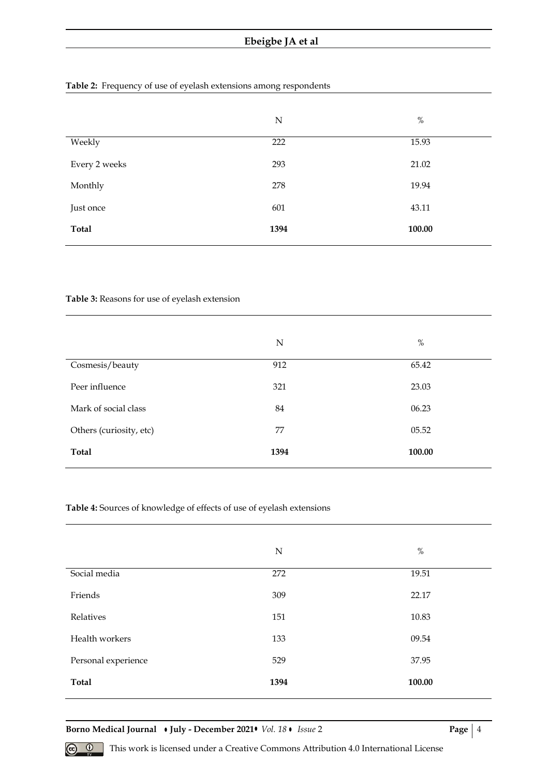## **Table 2:** Frequency of use of eyelash extensions among respondents

|               | $\mathbf N$ | $\%$   |
|---------------|-------------|--------|
| Weekly        | 222         | 15.93  |
| Every 2 weeks | 293         | 21.02  |
| Monthly       | 278         | 19.94  |
| Just once     | 601         | 43.11  |
| <b>Total</b>  | 1394        | 100.00 |

### **Table 3:** Reasons for use of eyelash extension

|                         | N    | $\%$   |
|-------------------------|------|--------|
| Cosmesis/beauty         | 912  | 65.42  |
| Peer influence          | 321  | 23.03  |
| Mark of social class    | 84   | 06.23  |
| Others (curiosity, etc) | 77   | 05.52  |
| Total                   | 1394 | 100.00 |

### **Table 4:** Sources of knowledge of effects of use of eyelash extensions

|                     | N    | $\%$   |
|---------------------|------|--------|
| Social media        | 272  | 19.51  |
| Friends             | 309  | 22.17  |
| Relatives           | 151  | 10.83  |
| Health workers      | 133  | 09.54  |
| Personal experience | 529  | 37.95  |
| <b>Total</b>        | 1394 | 100.00 |

**Borno Medical Journal • July - December 2021 •** *Vol. 18* **•** *Issue* **2 <b>Page** | 4

 **<sup>** $\circled{e}$  **This work is licensed under a Creative Commons Attribution 4.0 International License**</sup>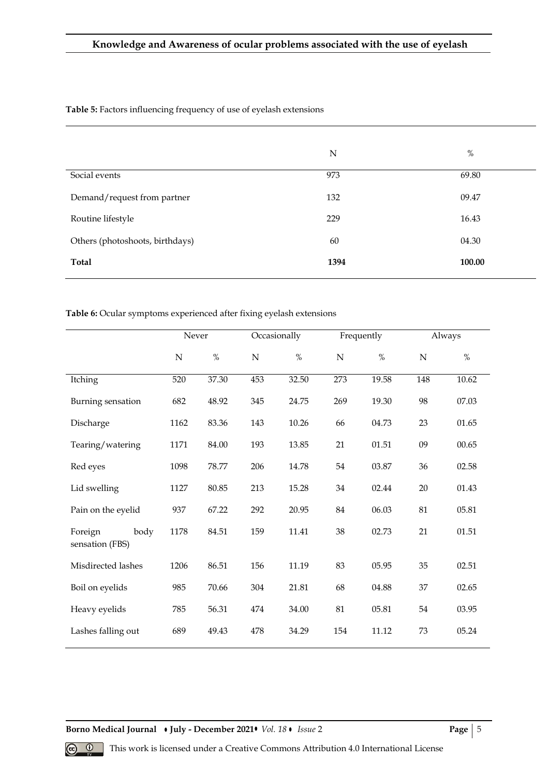|                                 | N    | $\%$   |
|---------------------------------|------|--------|
| Social events                   | 973  | 69.80  |
| Demand/request from partner     | 132  | 09.47  |
| Routine lifestyle               | 229  | 16.43  |
| Others (photoshoots, birthdays) | 60   | 04.30  |
| Total                           | 1394 | 100.00 |

**Table 5:** Factors influencing frequency of use of eyelash extensions

### **Table 6:** Ocular symptoms experienced after fixing eyelash extensions

|                                    | Occasionally<br>Never |       | Frequently  |       | Always |       |           |       |
|------------------------------------|-----------------------|-------|-------------|-------|--------|-------|-----------|-------|
|                                    | ${\bf N}$             | $\%$  | $\mathbf N$ | $\%$  | N      | $\%$  | ${\bf N}$ | $\%$  |
| Itching                            | 520                   | 37.30 | 453         | 32.50 | 273    | 19.58 | 148       | 10.62 |
| Burning sensation                  | 682                   | 48.92 | 345         | 24.75 | 269    | 19.30 | 98        | 07.03 |
| Discharge                          | 1162                  | 83.36 | 143         | 10.26 | 66     | 04.73 | 23        | 01.65 |
| Tearing/watering                   | 1171                  | 84.00 | 193         | 13.85 | 21     | 01.51 | 09        | 00.65 |
| Red eyes                           | 1098                  | 78.77 | 206         | 14.78 | 54     | 03.87 | 36        | 02.58 |
| Lid swelling                       | 1127                  | 80.85 | 213         | 15.28 | 34     | 02.44 | 20        | 01.43 |
| Pain on the eyelid                 | 937                   | 67.22 | 292         | 20.95 | 84     | 06.03 | 81        | 05.81 |
| Foreign<br>body<br>sensation (FBS) | 1178                  | 84.51 | 159         | 11.41 | 38     | 02.73 | 21        | 01.51 |
| Misdirected lashes                 | 1206                  | 86.51 | 156         | 11.19 | 83     | 05.95 | 35        | 02.51 |
| Boil on eyelids                    | 985                   | 70.66 | 304         | 21.81 | 68     | 04.88 | 37        | 02.65 |
| Heavy eyelids                      | 785                   | 56.31 | 474         | 34.00 | 81     | 05.81 | 54        | 03.95 |
| Lashes falling out                 | 689                   | 49.43 | 478         | 34.29 | 154    | 11.12 | 73        | 05.24 |

**Borno Medical Journal • July - December 2021 •** *Vol. 18* **•** *Issue* **2 <b>Page** | 5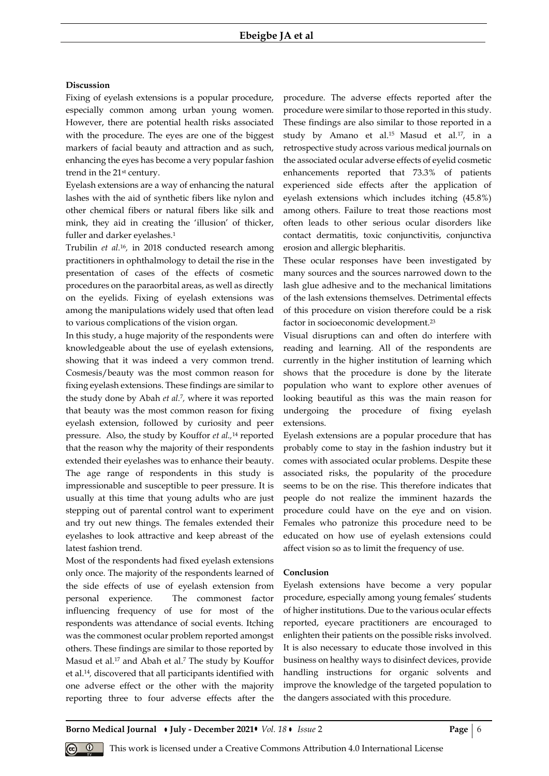#### **Discussion**

Fixing of eyelash extensions is a popular procedure, especially common among urban young women. However, there are potential health risks associated with the procedure. The eyes are one of the biggest markers of facial beauty and attraction and as such, enhancing the eyes has become a very popular fashion trend in the 21st century.

Eyelash extensions are a way of enhancing the natural lashes with the aid of synthetic fibers like nylon and other chemical fibers or natural fibers like silk and mink, they aid in creating the 'illusion' of thicker, fuller and darker eyelashes.<sup>1</sup>

Trubilin *et al.*<sup>16</sup> *,* in 2018 conducted research among practitioners in ophthalmology to detail the rise in the presentation of cases of the effects of cosmetic procedures on the paraorbital areas, as well as directly on the eyelids. Fixing of eyelash extensions was among the manipulations widely used that often lead to various complications of the vision organ.

In this study, a huge majority of the respondents were knowledgeable about the use of eyelash extensions, showing that it was indeed a very common trend. Cosmesis/beauty was the most common reason for fixing eyelash extensions. These findings are similar to the study done by Abah *et al.*<sup>7</sup> *,* where it was reported that beauty was the most common reason for fixing eyelash extension, followed by curiosity and peer pressure. Also, the study by Kouffor *et al.,*<sup>14</sup> reported that the reason why the majority of their respondents extended their eyelashes was to enhance their beauty. The age range of respondents in this study is impressionable and susceptible to peer pressure. It is usually at this time that young adults who are just stepping out of parental control want to experiment and try out new things. The females extended their eyelashes to look attractive and keep abreast of the latest fashion trend.

Most of the respondents had fixed eyelash extensions only once. The majority of the respondents learned of the side effects of use of eyelash extension from personal experience. The commonest factor influencing frequency of use for most of the respondents was attendance of social events. Itching was the commonest ocular problem reported amongst others. These findings are similar to those reported by Masud et al.<sup>17</sup> and Abah et al. <sup>7</sup> The study by Kouffor et al.<sup>14</sup> *,* discovered that all participants identified with one adverse effect or the other with the majority reporting three to four adverse effects after the

procedure. The adverse effects reported after the procedure were similar to those reported in this study. These findings are also similar to those reported in a study by Amano et al. <sup>15</sup> Masud et al*.* 17 *,* in a retrospective study across various medical journals on the associated ocular adverse effects of eyelid cosmetic enhancements reported that 73.3% of patients experienced side effects after the application of eyelash extensions which includes itching (45.8%) among others. Failure to treat those reactions most often leads to other serious ocular disorders like contact dermatitis, toxic conjunctivitis, conjunctiva erosion and allergic blepharitis.

These ocular responses have been investigated by many sources and the sources narrowed down to the lash glue adhesive and to the mechanical limitations of the lash extensions themselves. Detrimental effects of this procedure on vision therefore could be a risk factor in socioeconomic development.<sup>23</sup>

Visual disruptions can and often do interfere with reading and learning. All of the respondents are currently in the higher institution of learning which shows that the procedure is done by the literate population who want to explore other avenues of looking beautiful as this was the main reason for undergoing the procedure of fixing eyelash extensions.

Eyelash extensions are a popular procedure that has probably come to stay in the fashion industry but it comes with associated ocular problems. Despite these associated risks, the popularity of the procedure seems to be on the rise. This therefore indicates that people do not realize the imminent hazards the procedure could have on the eye and on vision. Females who patronize this procedure need to be educated on how use of eyelash extensions could affect vision so as to limit the frequency of use.

### **Conclusion**

Eyelash extensions have become a very popular procedure, especially among young females' students of higher institutions. Due to the various ocular effects reported, eyecare practitioners are encouraged to enlighten their patients on the possible risks involved. It is also necessary to educate those involved in this business on healthy ways to disinfect devices, provide handling instructions for organic solvents and improve the knowledge of the targeted population to the dangers associated with this procedure.

**Borno Medical Journal • July - December 2021 •** *Vol.* 18 • Issue 2 **Page** | 6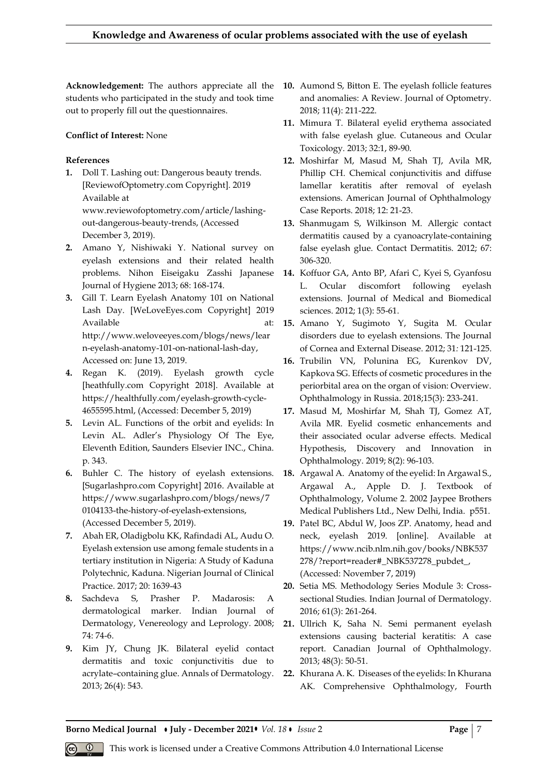**Acknowledgement:** The authors appreciate all the **10.** Aumond S, Bitton E. The eyelash follicle features students who participated in the study and took time out to properly fill out the questionnaires.

# **Conflict of Interest:** None

# **References**

- **1.** Doll T. Lashing out: Dangerous beauty trends. [ReviewofOptometry.com Copyright]. 2019 Available at www.reviewofoptometry.com/article/lashingout-dangerous-beauty-trends, (Accessed December 3, 2019).
- **2.** Amano Y, Nishiwaki Y. National survey on eyelash extensions and their related health problems. Nihon Eiseigaku Zasshi Japanese Journal of Hygiene 2013; 68: 168-174.
- **3.** Gill T. Learn Eyelash Anatomy 101 on National Lash Day. [WeLoveEyes.com Copyright] 2019 Available at: at: http://www.weloveeyes.com/blogs/news/lear n-eyelash-anatomy-101-on-national-lash-day, Accessed on: June 13, 2019.
- **4.** Regan K. (2019). Eyelash growth cycle [heathfully.com Copyright 2018]. Available at https://healthfully.com/eyelash-growth-cycle-4655595.html, (Accessed: December 5, 2019)
- **5.** Levin AL. Functions of the orbit and eyelids: In Levin AL. Adler's Physiology Of The Eye, Eleventh Edition, Saunders Elsevier INC., China. p. 343.
- **6.** Buhler C. The history of eyelash extensions. [Sugarlashpro.com Copyright] 2016. Available at https://www.sugarlashpro.com/blogs/news/7 0104133-the-history-of-eyelash-extensions, (Accessed December 5, 2019).
- **7.** Abah ER, Oladigbolu KK, Rafindadi AL, Audu O. Eyelash extension use among female students in a tertiary institution in Nigeria: A Study of Kaduna Polytechnic, Kaduna. Nigerian Journal of Clinical Practice. 2017; 20: 1639-43
- **8.** Sachdeva S, Prasher P. Madarosis: A dermatological marker. Indian Journal of Dermatology, Venereology and Leprology. 2008; 74: 74-6.
- **9.** Kim JY, Chung JK. Bilateral eyelid contact dermatitis and toxic conjunctivitis due to acrylate–containing glue. Annals of Dermatology. 2013; 26(4): 543.
- and anomalies: A Review. Journal of Optometry. 2018; 11(4): 211-222.
- **11.** Mimura T. Bilateral eyelid erythema associated with false eyelash glue. Cutaneous and Ocular Toxicology. 2013; 32:1, 89-90.
- **12.** Moshirfar M, Masud M, Shah TJ, Avila MR, Phillip CH. Chemical conjunctivitis and diffuse lamellar keratitis after removal of eyelash extensions. American Journal of Ophthalmology Case Reports. 2018; 12: 21-23.
- **13.** Shanmugam S, Wilkinson M. Allergic contact dermatitis caused by a cyanoacrylate-containing false eyelash glue. Contact Dermatitis. 2012; 67: 306-320.
- **14.** Koffuor GA, Anto BP, Afari C, Kyei S, Gyanfosu L. Ocular discomfort following eyelash extensions. Journal of Medical and Biomedical sciences. 2012; 1(3): 55-61.
- **15.** Amano Y, Sugimoto Y, Sugita M. Ocular disorders due to eyelash extensions. The Journal of Cornea and External Disease. 2012; 31*:* 121-125.
- **16.** Trubilin VN, Polunina EG, Kurenkov DV, Kapkova SG. Effects of cosmetic procedures in the periorbital area on the organ of vision: Overview. Ophthalmology in Russia. 2018;15(3): 233-241.
- **17.** Masud M, Moshirfar M, Shah TJ, Gomez AT, Avila MR. Eyelid cosmetic enhancements and their associated ocular adverse effects. Medical Hypothesis, Discovery and Innovation in Ophthalmology. 2019; 8(2): 96-103.
- **18.** Argawal A. Anatomy of the eyelid: In Argawal S., Argawal A., Apple D. J. Textbook of Ophthalmology, Volume 2. 2002 Jaypee Brothers Medical Publishers Ltd., New Delhi, India. p551.
- **19.** Patel BC, Abdul W, Joos ZP. Anatomy, head and neck, eyelash 2019. [online]. Available at https://www.ncib.nlm.nih.gov/books/NBK537 278/?report=reader#\_NBK537278\_pubdet\_, (Accessed: November 7, 2019)
- **20.** Setia MS. Methodology Series Module 3: Crosssectional Studies. Indian Journal of Dermatology. 2016; 61(3): 261-264.
- **21.** Ullrich K, Saha N. Semi permanent eyelash extensions causing bacterial keratitis: A case report. Canadian Journal of Ophthalmology. 2013; 48(3): 50-51.
- **22.** Khurana A. K. Diseases of the eyelids: In Khurana AK. Comprehensive Ophthalmology, Fourth